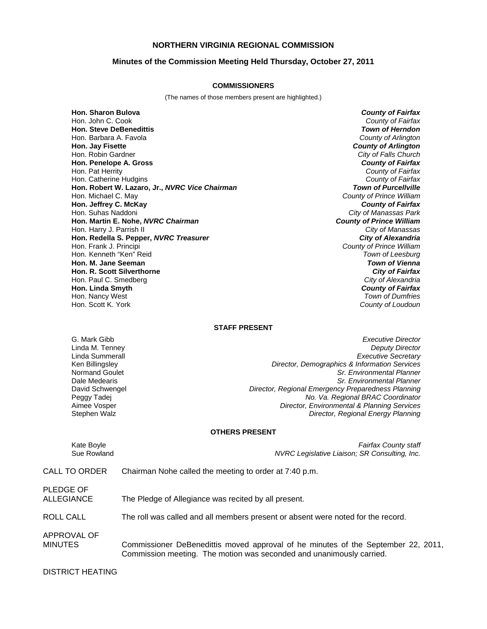### **NORTHERN VIRGINIA REGIONAL COMMISSION**

#### **Minutes of the Commission Meeting Held Thursday, October 27, 2011**

#### **COMMISSIONERS**

(The names of those members present are highlighted.)

**Hon. Sharon Bulova** *County of Fairfax* Hon. John C. Cook *County of Fairfax* **Hon. Steve DeBenedittis** Hon. Barbara A. Favola *County of Arlington* **Hon. Jay Fisette** *County of Arlington* Hon. Robin Gardner **Hon. Penelope A. Gross** *County of Fairfax* Hon. Pat Herrity *County of Fairfax* Hon. Catherine Hudgins *County of Fairfax* **Hon. Robert W. Lazaro, Jr.,** *NVRC Vice Chairman* **Hon. Michael C. May Hon. Jeffrey C. McKay** *County of Fairfax* Hon. Suhas Naddoni *City of Manassas Park* **Hon. Martin E. Nohe,** *NVRC Chairman County of Prince William* Hon. Harry J. Parrish II *City of Manassas* **Hon. Redella S. Pepper,** *NVRC Treasurer City of Alexandria* Hon. Frank J. Principi *County of Prince William* Hon. Kenneth "Ken" Reid *Town of Leesburg* **Hon. M. Jane Seeman** *Town of Vienna* **Hon. R. Scott Silverthorne** *City of Fairfax* Hon. Paul C. Smedberg *City of Alexandria* **Hon. Linda Smyth** *County of Fairfax* Hon. Nancy West

**County of Prince William** Hon. Scott K. York *County of Loudoun*

#### **STAFF PRESENT**

G. Mark Gibb *Executive Director* Linda M. Tenney *Deputy Director* Linda Summerall *Executive Secretary* Ken Billingsley *Director, Demographics & Information Services* Sr. Environmental Planner Dale Medearis *Sr. Environmental Planner* David Schwengel *Director, Regional Emergency Preparedness Planning* Peggy Tadej *No. Va. Regional BRAC Coordinator* **Director, Environmental & Planning Services** Stephen Walz *Director, Regional Energy Planning*

#### **OTHERS PRESENT**

Kate Boyle *Fairfax County staff* NVRC Legislative Liaison; SR Consulting, Inc.

## CALL TO ORDER Chairman Nohe called the meeting to order at 7:40 p.m.

PLEDGE OF ALLEGIANCE The Pledge of Allegiance was recited by all present.

ROLL CALL The roll was called and all members present or absent were noted for the record.

APPROVAL OF

MINUTES Commissioner DeBenedittis moved approval of he minutes of the September 22, 2011, Commission meeting. The motion was seconded and unanimously carried.

#### DISTRICT HEATING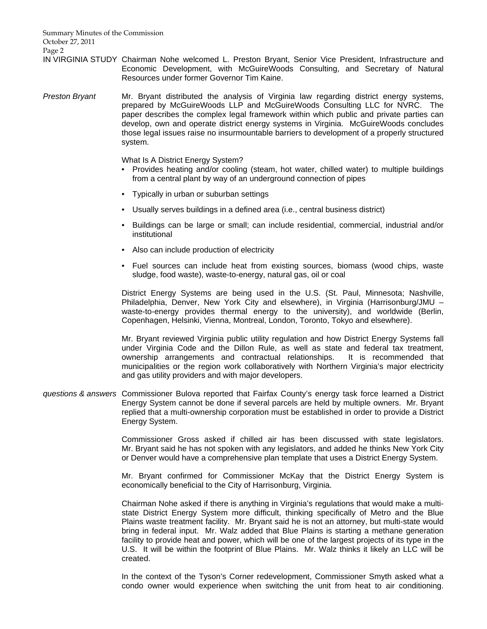Summary Minutes of the Commission October 27, 2011 Page 2

IN VIRGINIA STUDY Chairman Nohe welcomed L. Preston Bryant, Senior Vice President, Infrastructure and Economic Development, with McGuireWoods Consulting, and Secretary of Natural Resources under former Governor Tim Kaine.

*Preston Bryant* Mr. Bryant distributed the analysis of Virginia law regarding district energy systems, prepared by McGuireWoods LLP and McGuireWoods Consulting LLC for NVRC. The paper describes the complex legal framework within which public and private parties can develop, own and operate district energy systems in Virginia. McGuireWoods concludes those legal issues raise no insurmountable barriers to development of a properly structured system.

What Is A District Energy System?

- Provides heating and/or cooling (steam, hot water, chilled water) to multiple buildings from a central plant by way of an underground connection of pipes
- Typically in urban or suburban settings
- Usually serves buildings in a defined area (i.e., central business district)
- Buildings can be large or small; can include residential, commercial, industrial and/or institutional
- Also can include production of electricity
- Fuel sources can include heat from existing sources, biomass (wood chips, waste sludge, food waste), waste-to-energy, natural gas, oil or coal

District Energy Systems are being used in the U.S. (St. Paul, Minnesota; Nashville, Philadelphia, Denver, New York City and elsewhere), in Virginia (Harrisonburg/JMU – waste-to-energy provides thermal energy to the university), and worldwide (Berlin, Copenhagen, Helsinki, Vienna, Montreal, London, Toronto, Tokyo and elsewhere).

Mr. Bryant reviewed Virginia public utility regulation and how District Energy Systems fall under Virginia Code and the Dillon Rule, as well as state and federal tax treatment, ownership arrangements and contractual relationships. It is recommended that municipalities or the region work collaboratively with Northern Virginia's major electricity and gas utility providers and with major developers.

*questions & answers* Commissioner Bulova reported that Fairfax County's energy task force learned a District Energy System cannot be done if several parcels are held by multiple owners. Mr. Bryant replied that a multi-ownership corporation must be established in order to provide a District Energy System.

> Commissioner Gross asked if chilled air has been discussed with state legislators. Mr. Bryant said he has not spoken with any legislators, and added he thinks New York City or Denver would have a comprehensive plan template that uses a District Energy System.

> Mr. Bryant confirmed for Commissioner McKay that the District Energy System is economically beneficial to the City of Harrisonburg, Virginia.

> Chairman Nohe asked if there is anything in Virginia's regulations that would make a multistate District Energy System more difficult, thinking specifically of Metro and the Blue Plains waste treatment facility. Mr. Bryant said he is not an attorney, but multi-state would bring in federal input. Mr. Walz added that Blue Plains is starting a methane generation facility to provide heat and power, which will be one of the largest projects of its type in the U.S. It will be within the footprint of Blue Plains. Mr. Walz thinks it likely an LLC will be created.

> In the context of the Tyson's Corner redevelopment, Commissioner Smyth asked what a condo owner would experience when switching the unit from heat to air conditioning.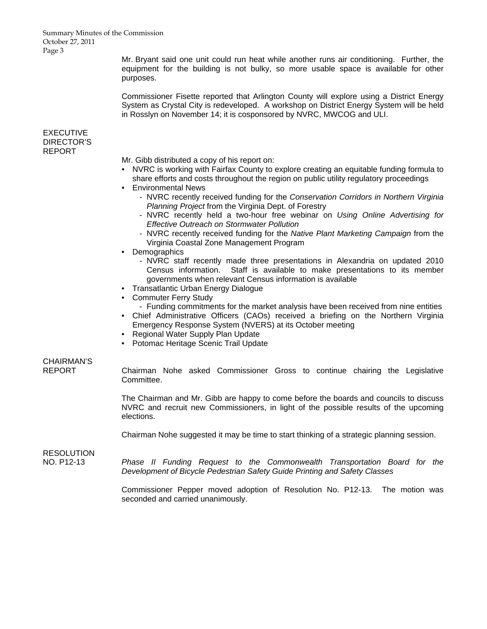#### Summary Minutes of the Commission October 27, 2011 Page 3

Mr. Bryant said one unit could run heat while another runs air conditioning. Further, the equipment for the building is not bulky, so more usable space is available for other purposes.

 Commissioner Fisette reported that Arlington County will explore using a District Energy System as Crystal City is redeveloped. A workshop on District Energy System will be held in Rosslyn on November 14; it is cosponsored by NVRC, MWCOG and ULI.

# EXECUTIVE DIRECTOR'S REPORT

Mr. Gibb distributed a copy of his report on:

- NVRC is working with Fairfax County to explore creating an equitable funding formula to share efforts and costs throughout the region on public utility regulatory proceedings
- Environmental News
	- NVRC recently received funding for the *Conservation Corridors in Northern Virginia Planning Project* from the Virginia Dept. of Forestry
	- NVRC recently held a two-hour free webinar on *Using Online Advertising for Effective Outreach on Stormwater Pollution*
	- NVRC recently received funding for the *Native Plant Marketing Campaign* from the Virginia Coastal Zone Management Program
- Demographics
	- NVRC staff recently made three presentations in Alexandria on updated 2010 Census information. Staff is available to make presentations to its member governments when relevant Census information is available
- Transatlantic Urban Energy Dialogue
- Commuter Ferry Study
	- Funding commitments for the market analysis have been received from nine entities
- Chief Administrative Officers (CAOs) received a briefing on the Northern Virginia Emergency Response System (NVERS) at its October meeting
- Regional Water Supply Plan Update
- Potomac Heritage Scenic Trail Update

# CHAIRMAN'S

REPORT Chairman Nohe asked Commissioner Gross to continue chairing the Legislative Committee.

> The Chairman and Mr. Gibb are happy to come before the boards and councils to discuss NVRC and recruit new Commissioners, in light of the possible results of the upcoming elections.

Chairman Nohe suggested it may be time to start thinking of a strategic planning session.

# RESOLUTION

NO. P12-13 *Phase II Funding Request to the Commonwealth Transportation Board for the Development of Bicycle Pedestrian Safety Guide Printing and Safety Classes*

> Commissioner Pepper moved adoption of Resolution No. P12-13. The motion was seconded and carried unanimously.